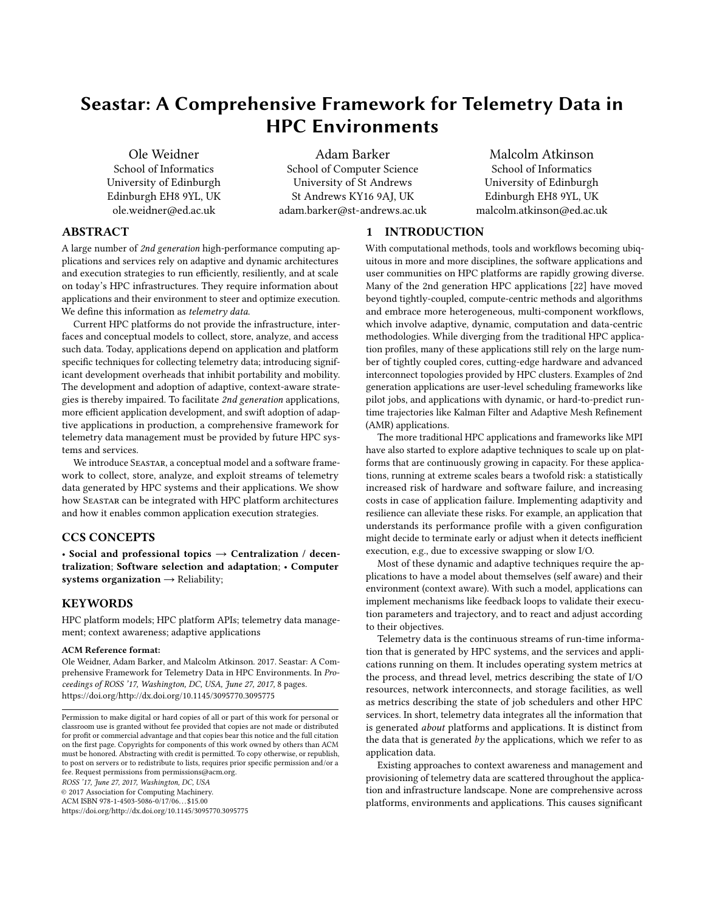# Seastar: A Comprehensive Framework for Telemetry Data in HPC Environments

Ole Weidner School of Informatics University of Edinburgh Edinburgh EH8 9YL, UK ole.weidner@ed.ac.uk

Adam Barker School of Computer Science University of St Andrews St Andrews KY16 9AJ, UK adam.barker@st-andrews.ac.uk

Malcolm Atkinson School of Informatics University of Edinburgh Edinburgh EH8 9YL, UK malcolm.atkinson@ed.ac.uk

## ABSTRACT

A large number of 2nd generation high-performance computing applications and services rely on adaptive and dynamic architectures and execution strategies to run efficiently, resiliently, and at scale on today's HPC infrastructures. They require information about applications and their environment to steer and optimize execution. We define this information as telemetry data.

Current HPC platforms do not provide the infrastructure, interfaces and conceptual models to collect, store, analyze, and access such data. Today, applications depend on application and platform specific techniques for collecting telemetry data; introducing significant development overheads that inhibit portability and mobility. The development and adoption of adaptive, context-aware strategies is thereby impaired. To facilitate 2nd generation applications, more efficient application development, and swift adoption of adaptive applications in production, a comprehensive framework for telemetry data management must be provided by future HPC systems and services.

We introduce SEASTAR, a conceptual model and a software framework to collect, store, analyze, and exploit streams of telemetry data generated by HPC systems and their applications. We show how SEASTAR can be integrated with HPC platform architectures and how it enables common application execution strategies.

# CCS CONCEPTS

• Social and professional topics  $\rightarrow$  Centralization / decentralization; Software selection and adaptation; • Computer systems organization  $\rightarrow$  Reliability;

## **KEYWORDS**

HPC platform models; HPC platform APIs; telemetry data management; context awareness; adaptive applications

#### ACM Reference format:

Ole Weidner, Adam Barker, and Malcolm Atkinson. 2017. Seastar: A Comprehensive Framework for Telemetry Data in HPC Environments. In Proceedings of ROSS '17, Washington, DC, USA, June 27, 2017, [8](#page-7-0) pages. <https://doi.org/http://dx.doi.org/10.1145/3095770.3095775>

ROSS '17, June 27, 2017, Washington, DC, USA

© 2017 Association for Computing Machinery.

ACM ISBN 978-1-4503-5086-0/17/06. . . \$15.00

<https://doi.org/http://dx.doi.org/10.1145/3095770.3095775>

## 1 INTRODUCTION

With computational methods, tools and workflows becoming ubiquitous in more and more disciplines, the software applications and user communities on HPC platforms are rapidly growing diverse. Many of the 2nd generation HPC applications [\[22\]](#page-7-1) have moved beyond tightly-coupled, compute-centric methods and algorithms and embrace more heterogeneous, multi-component workflows, which involve adaptive, dynamic, computation and data-centric methodologies. While diverging from the traditional HPC application profiles, many of these applications still rely on the large number of tightly coupled cores, cutting-edge hardware and advanced interconnect topologies provided by HPC clusters. Examples of 2nd generation applications are user-level scheduling frameworks like pilot jobs, and applications with dynamic, or hard-to-predict runtime trajectories like Kalman Filter and Adaptive Mesh Refinement (AMR) applications.

The more traditional HPC applications and frameworks like MPI have also started to explore adaptive techniques to scale up on platforms that are continuously growing in capacity. For these applications, running at extreme scales bears a twofold risk: a statistically increased risk of hardware and software failure, and increasing costs in case of application failure. Implementing adaptivity and resilience can alleviate these risks. For example, an application that understands its performance profile with a given configuration might decide to terminate early or adjust when it detects inefficient execution, e.g., due to excessive swapping or slow I/O.

Most of these dynamic and adaptive techniques require the applications to have a model about themselves (self aware) and their environment (context aware). With such a model, applications can implement mechanisms like feedback loops to validate their execution parameters and trajectory, and to react and adjust according to their objectives.

Telemetry data is the continuous streams of run-time information that is generated by HPC systems, and the services and applications running on them. It includes operating system metrics at the process, and thread level, metrics describing the state of I/O resources, network interconnects, and storage facilities, as well as metrics describing the state of job schedulers and other HPC services. In short, telemetry data integrates all the information that is generated about platforms and applications. It is distinct from the data that is generated  $by$  the applications, which we refer to as application data.

Existing approaches to context awareness and management and provisioning of telemetry data are scattered throughout the application and infrastructure landscape. None are comprehensive across platforms, environments and applications. This causes significant

Permission to make digital or hard copies of all or part of this work for personal or classroom use is granted without fee provided that copies are not made or distributed for profit or commercial advantage and that copies bear this notice and the full citation on the first page. Copyrights for components of this work owned by others than ACM must be honored. Abstracting with credit is permitted. To copy otherwise, or republish, to post on servers or to redistribute to lists, requires prior specific permission and/or a fee. Request permissions from permissions@acm.org.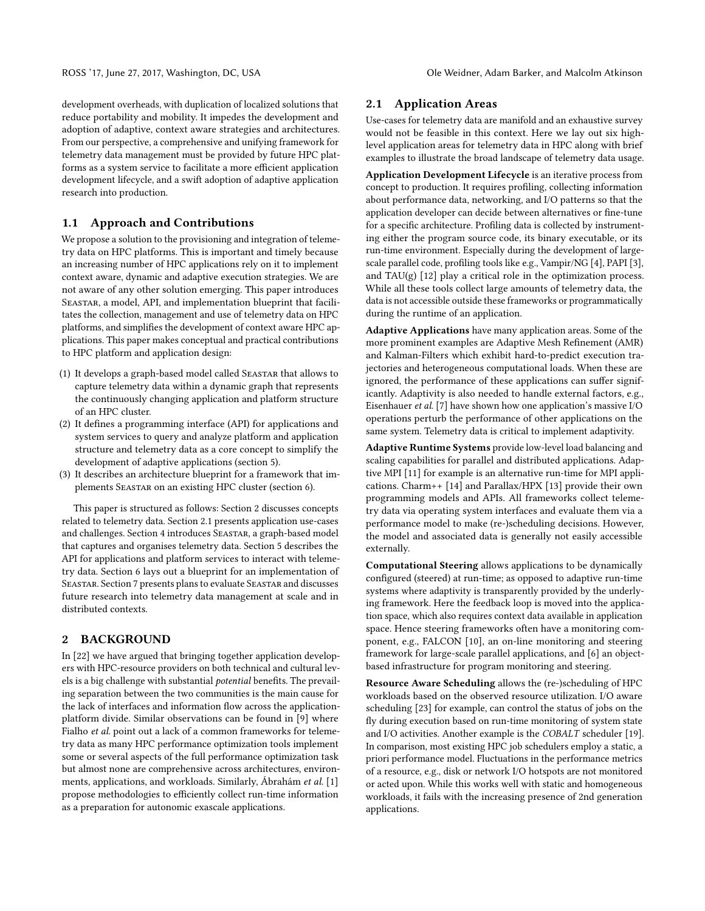development overheads, with duplication of localized solutions that reduce portability and mobility. It impedes the development and adoption of adaptive, context aware strategies and architectures. From our perspective, a comprehensive and unifying framework for telemetry data management must be provided by future HPC platforms as a system service to facilitate a more efficient application development lifecycle, and a swift adoption of adaptive application research into production.

## 1.1 Approach and Contributions

We propose a solution to the provisioning and integration of telemetry data on HPC platforms. This is important and timely because an increasing number of HPC applications rely on it to implement context aware, dynamic and adaptive execution strategies. We are not aware of any other solution emerging. This paper introduces Seastar, a model, API, and implementation blueprint that facilitates the collection, management and use of telemetry data on HPC platforms, and simplifies the development of context aware HPC applications. This paper makes conceptual and practical contributions to HPC platform and application design:

- (1) It develops a graph-based model called Seastar that allows to capture telemetry data within a dynamic graph that represents the continuously changing application and platform structure of an HPC cluster.
- (2) It defines a programming interface (API) for applications and system services to query and analyze platform and application structure and telemetry data as a core concept to simplify the development of adaptive applications (section [5\)](#page-4-0).
- (3) It describes an architecture blueprint for a framework that implements Seastar on an existing HPC cluster (section [6\)](#page-5-0).

This paper is structured as follows: Section [2](#page-1-0) discusses concepts related to telemetry data. Section [2.1](#page-1-1) presents application use-cases and challenges. Section [4](#page-3-0) introduces Seastar, a graph-based model that captures and organises telemetry data. Section [5](#page-4-0) describes the API for applications and platform services to interact with telemetry data. Section [6](#page-5-0) lays out a blueprint for an implementation of Seastar. Section [7](#page-7-2) presents plans to evaluate Seastar and discusses future research into telemetry data management at scale and in distributed contexts.

## <span id="page-1-0"></span>2 BACKGROUND

In [\[22\]](#page-7-1) we have argued that bringing together application developers with HPC-resource providers on both technical and cultural levels is a big challenge with substantial potential benefits. The prevailing separation between the two communities is the main cause for the lack of interfaces and information flow across the applicationplatform divide. Similar observations can be found in [\[9\]](#page-7-3) where Fialho et al. point out a lack of a common frameworks for telemetry data as many HPC performance optimization tools implement some or several aspects of the full performance optimization task but almost none are comprehensive across architectures, environments, applications, and workloads. Similarly, Ábrahám et al. [\[1\]](#page-7-4) propose methodologies to efficiently collect run-time information as a preparation for autonomic exascale applications.

#### <span id="page-1-1"></span>2.1 Application Areas

Use-cases for telemetry data are manifold and an exhaustive survey would not be feasible in this context. Here we lay out six highlevel application areas for telemetry data in HPC along with brief examples to illustrate the broad landscape of telemetry data usage.

Application Development Lifecycle is an iterative process from concept to production. It requires profiling, collecting information about performance data, networking, and I/O patterns so that the application developer can decide between alternatives or fine-tune for a specific architecture. Profiling data is collected by instrumenting either the program source code, its binary executable, or its run-time environment. Especially during the development of largescale parallel code, profiling tools like e.g., Vampir/NG [\[4\]](#page-7-5), PAPI [\[3\]](#page-7-6), and  $TAU(g)$  [\[12\]](#page-7-7) play a critical role in the optimization process. While all these tools collect large amounts of telemetry data, the data is not accessible outside these frameworks or programmatically during the runtime of an application.

Adaptive Applications have many application areas. Some of the more prominent examples are Adaptive Mesh Refinement (AMR) and Kalman-Filters which exhibit hard-to-predict execution trajectories and heterogeneous computational loads. When these are ignored, the performance of these applications can suffer significantly. Adaptivity is also needed to handle external factors, e.g., Eisenhauer et al. [\[7\]](#page-7-8) have shown how one application's massive I/O operations perturb the performance of other applications on the same system. Telemetry data is critical to implement adaptivity.

Adaptive Runtime Systems provide low-level load balancing and scaling capabilities for parallel and distributed applications. Adaptive MPI [\[11\]](#page-7-9) for example is an alternative run-time for MPI applications. Charm++ [\[14\]](#page-7-10) and Parallax/HPX [\[13\]](#page-7-11) provide their own programming models and APIs. All frameworks collect telemetry data via operating system interfaces and evaluate them via a performance model to make (re-)scheduling decisions. However, the model and associated data is generally not easily accessible externally.

Computational Steering allows applications to be dynamically configured (steered) at run-time; as opposed to adaptive run-time systems where adaptivity is transparently provided by the underlying framework. Here the feedback loop is moved into the application space, which also requires context data available in application space. Hence steering frameworks often have a monitoring component, e.g., FALCON [\[10\]](#page-7-12), an on-line monitoring and steering framework for large-scale parallel applications, and [\[6\]](#page-7-13) an objectbased infrastructure for program monitoring and steering.

Resource Aware Scheduling allows the (re-)scheduling of HPC workloads based on the observed resource utilization. I/O aware scheduling [\[23\]](#page-7-14) for example, can control the status of jobs on the fly during execution based on run-time monitoring of system state and I/O activities. Another example is the COBALT scheduler [\[19\]](#page-7-15). In comparison, most existing HPC job schedulers employ a static, a priori performance model. Fluctuations in the performance metrics of a resource, e.g., disk or network I/O hotspots are not monitored or acted upon. While this works well with static and homogeneous workloads, it fails with the increasing presence of 2nd generation applications.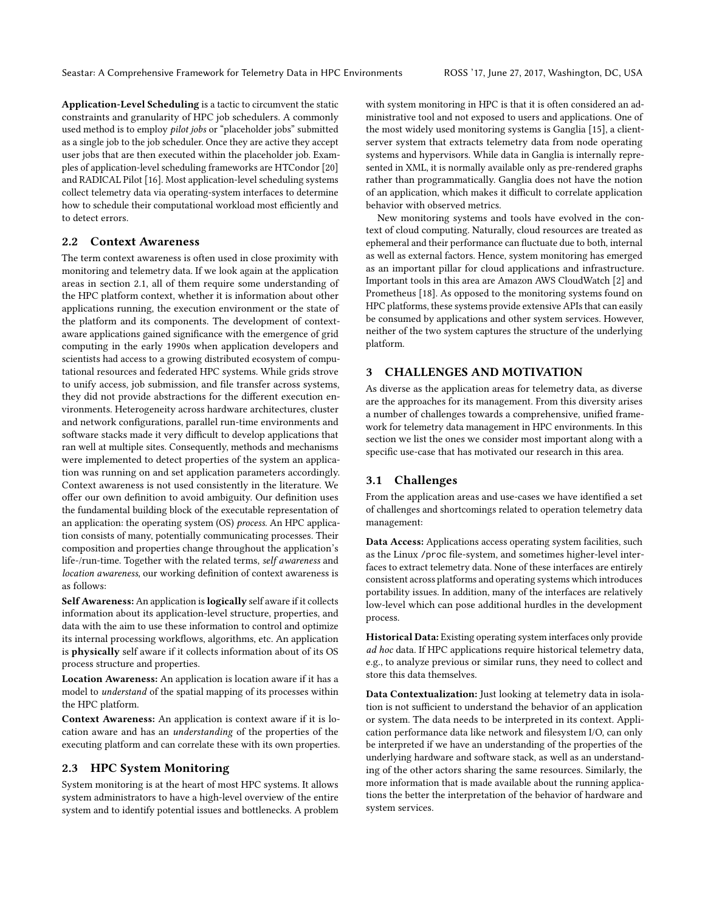Application-Level Scheduling is a tactic to circumvent the static constraints and granularity of HPC job schedulers. A commonly used method is to employ pilot jobs or "placeholder jobs" submitted as a single job to the job scheduler. Once they are active they accept user jobs that are then executed within the placeholder job. Examples of application-level scheduling frameworks are HTCondor [\[20\]](#page-7-16) and RADICAL Pilot [\[16\]](#page-7-17). Most application-level scheduling systems collect telemetry data via operating-system interfaces to determine how to schedule their computational workload most efficiently and to detect errors.

#### 2.2 Context Awareness

The term context awareness is often used in close proximity with monitoring and telemetry data. If we look again at the application areas in section [2.1,](#page-1-1) all of them require some understanding of the HPC platform context, whether it is information about other applications running, the execution environment or the state of the platform and its components. The development of contextaware applications gained significance with the emergence of grid computing in the early 1990s when application developers and scientists had access to a growing distributed ecosystem of computational resources and federated HPC systems. While grids strove to unify access, job submission, and file transfer across systems, they did not provide abstractions for the different execution environments. Heterogeneity across hardware architectures, cluster and network configurations, parallel run-time environments and software stacks made it very difficult to develop applications that ran well at multiple sites. Consequently, methods and mechanisms were implemented to detect properties of the system an application was running on and set application parameters accordingly. Context awareness is not used consistently in the literature. We offer our own definition to avoid ambiguity. Our definition uses the fundamental building block of the executable representation of an application: the operating system (OS) process. An HPC application consists of many, potentially communicating processes. Their composition and properties change throughout the application's life-/run-time. Together with the related terms, self awareness and location awareness, our working definition of context awareness is as follows:

Self Awareness: An application is logically self aware if it collects information about its application-level structure, properties, and data with the aim to use these information to control and optimize its internal processing workflows, algorithms, etc. An application is physically self aware if it collects information about of its OS process structure and properties.

Location Awareness: An application is location aware if it has a model to understand of the spatial mapping of its processes within the HPC platform.

Context Awareness: An application is context aware if it is location aware and has an understanding of the properties of the executing platform and can correlate these with its own properties.

## 2.3 HPC System Monitoring

System monitoring is at the heart of most HPC systems. It allows system administrators to have a high-level overview of the entire system and to identify potential issues and bottlenecks. A problem with system monitoring in HPC is that it is often considered an administrative tool and not exposed to users and applications. One of the most widely used monitoring systems is Ganglia [\[15\]](#page-7-18), a clientserver system that extracts telemetry data from node operating systems and hypervisors. While data in Ganglia is internally represented in XML, it is normally available only as pre-rendered graphs rather than programmatically. Ganglia does not have the notion of an application, which makes it difficult to correlate application behavior with observed metrics.

New monitoring systems and tools have evolved in the context of cloud computing. Naturally, cloud resources are treated as ephemeral and their performance can fluctuate due to both, internal as well as external factors. Hence, system monitoring has emerged as an important pillar for cloud applications and infrastructure. Important tools in this area are Amazon AWS CloudWatch [\[2\]](#page-7-19) and Prometheus [\[18\]](#page-7-20). As opposed to the monitoring systems found on HPC platforms, these systems provide extensive APIs that can easily be consumed by applications and other system services. However, neither of the two system captures the structure of the underlying platform.

## 3 CHALLENGES AND MOTIVATION

As diverse as the application areas for telemetry data, as diverse are the approaches for its management. From this diversity arises a number of challenges towards a comprehensive, unified framework for telemetry data management in HPC environments. In this section we list the ones we consider most important along with a specific use-case that has motivated our research in this area.

## 3.1 Challenges

From the application areas and use-cases we have identified a set of challenges and shortcomings related to operation telemetry data management:

Data Access: Applications access operating system facilities, such as the Linux /proc file-system, and sometimes higher-level interfaces to extract telemetry data. None of these interfaces are entirely consistent across platforms and operating systems which introduces portability issues. In addition, many of the interfaces are relatively low-level which can pose additional hurdles in the development process.

Historical Data: Existing operating system interfaces only provide ad hoc data. If HPC applications require historical telemetry data, e.g., to analyze previous or similar runs, they need to collect and store this data themselves.

Data Contextualization: Just looking at telemetry data in isolation is not sufficient to understand the behavior of an application or system. The data needs to be interpreted in its context. Application performance data like network and filesystem I/O, can only be interpreted if we have an understanding of the properties of the underlying hardware and software stack, as well as an understanding of the other actors sharing the same resources. Similarly, the more information that is made available about the running applications the better the interpretation of the behavior of hardware and system services.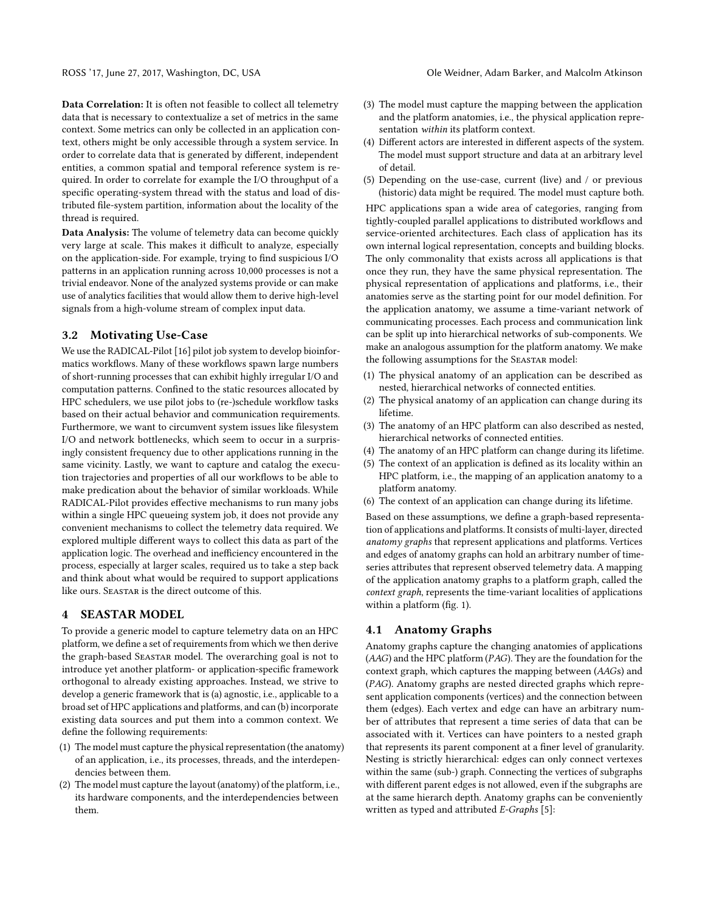ROSS '17, June 27, 2017, Washington, DC, USA Ole Weidner, Adam Barker, and Malcolm Atkinson

Data Correlation: It is often not feasible to collect all telemetry data that is necessary to contextualize a set of metrics in the same context. Some metrics can only be collected in an application context, others might be only accessible through a system service. In order to correlate data that is generated by different, independent entities, a common spatial and temporal reference system is required. In order to correlate for example the I/O throughput of a specific operating-system thread with the status and load of distributed file-system partition, information about the locality of the thread is required.

Data Analysis: The volume of telemetry data can become quickly very large at scale. This makes it difficult to analyze, especially on the application-side. For example, trying to find suspicious I/O patterns in an application running across 10,000 processes is not a trivial endeavor. None of the analyzed systems provide or can make use of analytics facilities that would allow them to derive high-level signals from a high-volume stream of complex input data.

## 3.2 Motivating Use-Case

We use the RADICAL-Pilot [\[16\]](#page-7-17) pilot job system to develop bioinformatics workflows. Many of these workflows spawn large numbers of short-running processes that can exhibit highly irregular I/O and computation patterns. Confined to the static resources allocated by HPC schedulers, we use pilot jobs to (re-)schedule workflow tasks based on their actual behavior and communication requirements. Furthermore, we want to circumvent system issues like filesystem I/O and network bottlenecks, which seem to occur in a surprisingly consistent frequency due to other applications running in the same vicinity. Lastly, we want to capture and catalog the execution trajectories and properties of all our workflows to be able to make predication about the behavior of similar workloads. While RADICAL-Pilot provides effective mechanisms to run many jobs within a single HPC queueing system job, it does not provide any convenient mechanisms to collect the telemetry data required. We explored multiple different ways to collect this data as part of the application logic. The overhead and inefficiency encountered in the process, especially at larger scales, required us to take a step back and think about what would be required to support applications like ours. Seastar is the direct outcome of this.

## <span id="page-3-0"></span>4 SEASTAR MODEL

To provide a generic model to capture telemetry data on an HPC platform, we define a set of requirements from which we then derive the graph-based Seastar model. The overarching goal is not to introduce yet another platform- or application-specific framework orthogonal to already existing approaches. Instead, we strive to develop a generic framework that is (a) agnostic, i.e., applicable to a broad set of HPC applications and platforms, and can (b) incorporate existing data sources and put them into a common context. We define the following requirements:

- (1) The model must capture the physical representation (the anatomy) of an application, i.e., its processes, threads, and the interdependencies between them.
- (2) The model must capture the layout (anatomy) of the platform, i.e., its hardware components, and the interdependencies between them.
- (3) The model must capture the mapping between the application and the platform anatomies, i.e., the physical application representation within its platform context.
- (4) Different actors are interested in different aspects of the system. The model must support structure and data at an arbitrary level of detail.
- (5) Depending on the use-case, current (live) and / or previous (historic) data might be required. The model must capture both.

HPC applications span a wide area of categories, ranging from tightly-coupled parallel applications to distributed workflows and service-oriented architectures. Each class of application has its own internal logical representation, concepts and building blocks. The only commonality that exists across all applications is that once they run, they have the same physical representation. The physical representation of applications and platforms, i.e., their anatomies serve as the starting point for our model definition. For the application anatomy, we assume a time-variant network of communicating processes. Each process and communication link can be split up into hierarchical networks of sub-components. We make an analogous assumption for the platform anatomy. We make the following assumptions for the Seastar model:

- (1) The physical anatomy of an application can be described as nested, hierarchical networks of connected entities.
- The physical anatomy of an application can change during its lifetime.
- (3) The anatomy of an HPC platform can also described as nested, hierarchical networks of connected entities.
- (4) The anatomy of an HPC platform can change during its lifetime.
- (5) The context of an application is defined as its locality within an HPC platform, i.e., the mapping of an application anatomy to a platform anatomy.
- (6) The context of an application can change during its lifetime.

Based on these assumptions, we define a graph-based representation of applications and platforms. It consists of multi-layer, directed anatomy graphs that represent applications and platforms. Vertices and edges of anatomy graphs can hold an arbitrary number of timeseries attributes that represent observed telemetry data. A mapping of the application anatomy graphs to a platform graph, called the context graph, represents the time-variant localities of applications within a platform (fig. [1\)](#page-4-1).

#### 4.1 Anatomy Graphs

Anatomy graphs capture the changing anatomies of applications (AAG) and the HPC platform (PAG). They are the foundation for the context graph, which captures the mapping between (AAGs) and (PAG). Anatomy graphs are nested directed graphs which represent application components (vertices) and the connection between them (edges). Each vertex and edge can have an arbitrary number of attributes that represent a time series of data that can be associated with it. Vertices can have pointers to a nested graph that represents its parent component at a finer level of granularity. Nesting is strictly hierarchical: edges can only connect vertexes within the same (sub-) graph. Connecting the vertices of subgraphs with different parent edges is not allowed, even if the subgraphs are at the same hierarch depth. Anatomy graphs can be conveniently written as typed and attributed E-Graphs [\[5\]](#page-7-21):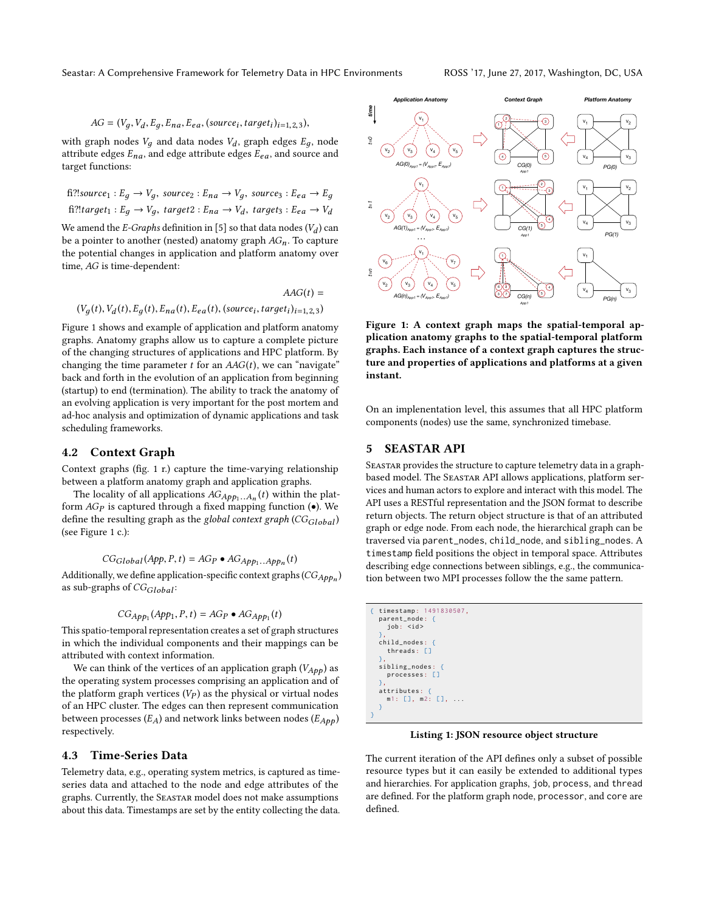$$
AG = (V_g, V_d, E_g, E_{na}, E_{ea}, (source_i, target_i)_{i=1,2,3}),
$$

with graph nodes  $V_g$  and data nodes  $V_d$ , graph edges  $E_g$ , node<br>attribute edges  $E_g$  and edge attribute edges  $E_g$  and source and attribute edges  $E_{na}$ , and edge attribute edges  $E_{ea}$ , and source and target functions:

$$
f_1?!source_1: E_g \to V_g, source_2: E_{na} \to V_g, source_3: E_{ea} \to E_g
$$
  

$$
f_1?!target_1: E_g \to V_g, target_2: E_{na} \to V_d, target_3: E_{ea} \to V_d
$$

We amend the E-Graphs definition in [\[5\]](#page-7-21) so that data nodes  $(V_d)$  can<br>be a pointer to another (nested) anatomy graph  $AG$ . To canture be a pointer to another (nested) anatomy graph  $AG_n$ . To capture the potential changes in application and platform anatomy over time, AG is time-dependent:

$$
AAG(t) = (V_g(t), V_d(t), E_g(t), E_{na}(t), E_{ea}(t), (source_i, target_i)_{i=1,2,3})
$$

Figure [1](#page-4-1) shows and example of application and platform anatomy graphs. Anatomy graphs allow us to capture a complete picture of the changing structures of applications and HPC platform. By changing the time parameter  $t$  for an  $AAG(t)$ , we can "navigate" back and forth in the evolution of an application from beginning (startup) to end (termination). The ability to track the anatomy of an evolving application is very important for the post mortem and ad-hoc analysis and optimization of dynamic applications and task scheduling frameworks.

#### 4.2 Context Graph

Context graphs (fig. [1](#page-4-1) r.) capture the time-varying relationship between a platform anatomy graph and application graphs.

The locality of all applications  $AG_{App_1...A_n}(t)$  within the plat-<br>m  $AG$  is contured through a fixed manning function (a) We form  $AGP$  is captured through a fixed mapping function  $(•)$ . We define the resulting graph as the global context graph ( $CG_{Global}$ ) (see Figure [1](#page-4-1) c.):

$$
CG_{Global}(App, P, t) = AG_P \bullet AG_{App_1...App_n}(t)
$$

Additionally, we define application-specific context graphs  $(CG_{Appn})$ <br>as sub-graphs of  $CG_{\text{SUSY}}$ . as sub-graphs of  $CG_{Global}$ :

$$
CG_{App_1}(App_1, P, t) = AG_P \bullet AG_{App_1}(t)
$$

 $CG_{App_1}(App_1, P, t) = AG_P \bullet AG_{App_1}(t)$  This spatio-temporal representation creates a set of graph structures in which the individual components and their mappings can be attributed with context information.

We can think of the vertices of an application graph  $(V_{App})$  as the operating system processes comprising an application and of the platform graph vertices  $(V_P)$  as the physical or virtual nodes of an HPC cluster. The edges can then represent communication between processes  $(E_A)$  and network links between nodes  $(E_{App})$ respectively.

#### 4.3 Time-Series Data

Telemetry data, e.g., operating system metrics, is captured as timeseries data and attached to the node and edge attributes of the graphs. Currently, the Seastar model does not make assumptions about this data. Timestamps are set by the entity collecting the data.

<span id="page-4-1"></span>

Figure 1: A context graph maps the spatial-temporal application anatomy graphs to the spatial-temporal platform graphs. Each instance of a context graph captures the structure and properties of applications and platforms at a given instant.

On an implenentation level, this assumes that all HPC platform components (nodes) use the same, synchronized timebase.

## <span id="page-4-0"></span>5 SEASTAR API

SEASTAR provides the structure to capture telemetry data in a graphbased model. The Seastar API allows applications, platform services and human actors to explore and interact with this model. The API uses a RESTful representation and the JSON format to describe return objects. The return object structure is that of an attributed graph or edge node. From each node, the hierarchical graph can be traversed via parent\_nodes, child\_node, and sibling\_nodes. A timestamp field positions the object in temporal space. Attributes describing edge connections between siblings, e.g., the communication between two MPI processes follow the the same pattern.

{ timestamp : 1491830507, parent\_node : { iob: <id> }, child\_nodes : { threads: [] }, sibling\_nodes : { processes: [] }, attributes : { m1: [], m2: [], ... } }

Listing 1: JSON resource object structure

The current iteration of the API defines only a subset of possible resource types but it can easily be extended to additional types and hierarchies. For application graphs, job, process, and thread are defined. For the platform graph node, processor, and core are defined.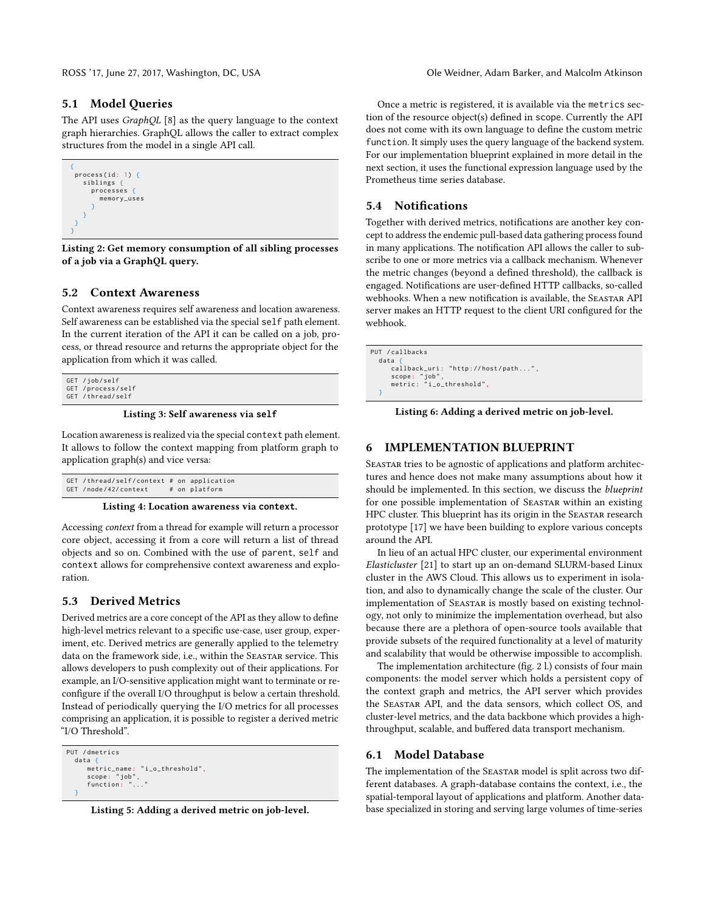## 5.1 Model Queries

The API uses *GraphQL* [\[8\]](#page-7-22) as the query language to the context graph hierarchies. GraphQL allows the caller to extract complex structures from the model in a single API call.

```
{
process ( id: 1) {
   siblings {
     processes {
       memory_uses
      }
   }
 }
}
```
Listing 2: Get memory consumption of all sibling processes of a job via a GraphQL query.

## 5.2 Context Awareness

Context awareness requires self awareness and location awareness. Self awareness can be established via the special self path element. In the current iteration of the API it can be called on a job, process, or thread resource and returns the appropriate object for the application from which it was called.

```
GET /job/self<br>GET /process/
      /process/self
GET / thread / self
```

```
Listing 3: Self awareness via self
```
Location awareness is realized via the special context path element. It allows to follow the context mapping from platform graph to application graph(s) and vice versa:

| GET /thread/self/context # on application<br>GET /node/42/context | # on platform |
|-------------------------------------------------------------------|---------------|
|-------------------------------------------------------------------|---------------|

#### Listing 4: Location awareness via **context**.

Accessing context from a thread for example will return a processor core object, accessing it from a core will return a list of thread objects and so on. Combined with the use of parent, self and context allows for comprehensive context awareness and exploration.

## 5.3 Derived Metrics

Derived metrics are a core concept of the API as they allow to define high-level metrics relevant to a specific use-case, user group, experiment, etc. Derived metrics are generally applied to the telemetry data on the framework side, i.e., within the Seastar service. This allows developers to push complexity out of their applications. For example, an I/O-sensitive application might want to terminate or reconfigure if the overall I/O throughput is below a certain threshold. Instead of periodically querying the I/O metrics for all processes comprising an application, it is possible to register a derived metric "I/O Threshold".



Listing 5: Adding a derived metric on job-level.

Once a metric is registered, it is available via the metrics section of the resource object(s) defined in scope. Currently the API does not come with its own language to define the custom metric function. It simply uses the query language of the backend system. For our implementation blueprint explained in more detail in the next section, it uses the functional expression language used by the Prometheus time series database.

## 5.4 Notifications

Together with derived metrics, notifications are another key concept to address the endemic pull-based data gathering process found in many applications. The notification API allows the caller to subscribe to one or more metrics via a callback mechanism. Whenever the metric changes (beyond a defined threshold), the callback is engaged. Notifications are user-defined HTTP callbacks, so-called webhooks. When a new notification is available, the Seastar API server makes an HTTP request to the client URI configured for the webhook.

| PUT /callbacks                    |  |
|-----------------------------------|--|
| data f                            |  |
| callback_uri: "http://host/path", |  |
| scope: "job",                     |  |
| metric: "i_o_threshold",          |  |
|                                   |  |

Listing 6: Adding a derived metric on job-level.

#### <span id="page-5-0"></span>6 IMPLEMENTATION BLUEPRINT

SEASTAR tries to be agnostic of applications and platform architectures and hence does not make many assumptions about how it should be implemented. In this section, we discuss the blueprint for one possible implementation of Seastar within an existing HPC cluster. This blueprint has its origin in the Seastar research prototype [\[17\]](#page-7-23) we have been building to explore various concepts around the API.

In lieu of an actual HPC cluster, our experimental environment Elasticluster [\[21\]](#page-7-24) to start up an on-demand SLURM-based Linux cluster in the AWS Cloud. This allows us to experiment in isolation, and also to dynamically change the scale of the cluster. Our implementation of SEASTAR is mostly based on existing technology, not only to minimize the implementation overhead, but also because there are a plethora of open-source tools available that provide subsets of the required functionality at a level of maturity and scalability that would be otherwise impossible to accomplish.

The implementation architecture (fig. [2](#page-6-0) l.) consists of four main components: the model server which holds a persistent copy of the context graph and metrics, the API server which provides the Seastar API, and the data sensors, which collect OS, and cluster-level metrics, and the data backbone which provides a highthroughput, scalable, and buffered data transport mechanism.

#### 6.1 Model Database

The implementation of the Seastar model is split across two different databases. A graph-database contains the context, i.e., the spatial-temporal layout of applications and platform. Another database specialized in storing and serving large volumes of time-series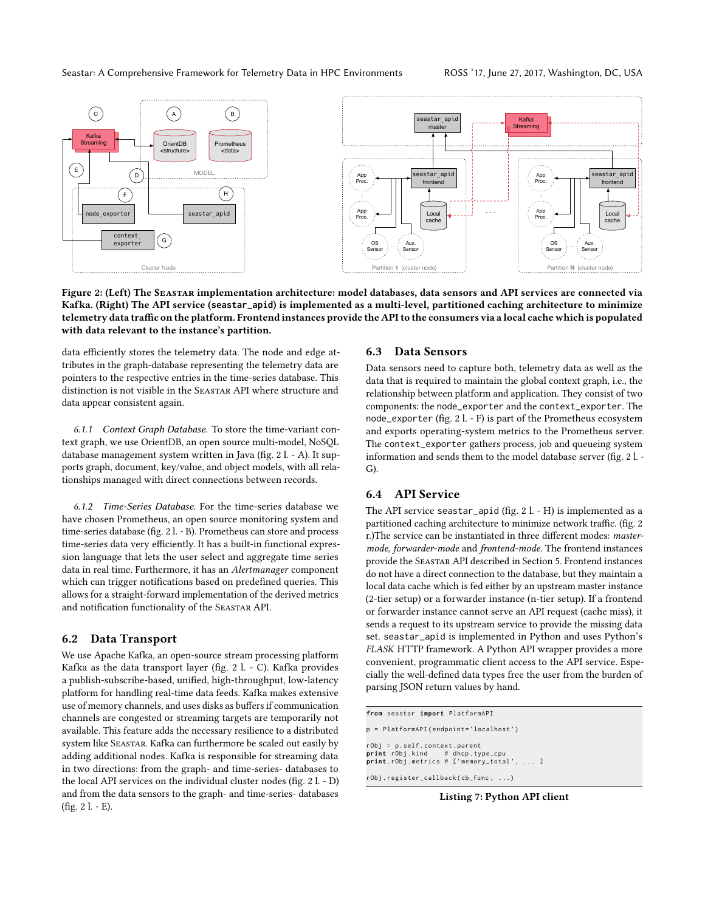<span id="page-6-0"></span>

Figure 2: (Left) The Seastar implementation architecture: model databases, data sensors and API services are connected via Kafka. (Right) The API service (**seastar\_apid**) is implemented as a multi-level, partitioned caching architecture to minimize telemetry data traffic on the platform. Frontend instances provide the API to the consumers via a local cache which is populated with data relevant to the instance's partition.

data efficiently stores the telemetry data. The node and edge attributes in the graph-database representing the telemetry data are pointers to the respective entries in the time-series database. This distinction is not visible in the Seastar API where structure and data appear consistent again.

6.1.1 Context Graph Database. To store the time-variant context graph, we use OrientDB, an open source multi-model, NoSQL database management system written in Java (fig. [2](#page-6-0) l. - A). It supports graph, document, key/value, and object models, with all relationships managed with direct connections between records.

6.1.2 Time-Series Database. For the time-series database we have chosen Prometheus, an open source monitoring system and time-series database (fig. [2](#page-6-0) l. - B). Prometheus can store and process time-series data very efficiently. It has a built-in functional expression language that lets the user select and aggregate time series data in real time. Furthermore, it has an Alertmanager component which can trigger notifications based on predefined queries. This allows for a straight-forward implementation of the derived metrics and notification functionality of the Seastar API.

### 6.2 Data Transport

We use Apache Kafka, an open-source stream processing platform Kafka as the data transport layer (fig. [2](#page-6-0) l. - C). Kafka provides a publish-subscribe-based, unified, high-throughput, low-latency platform for handling real-time data feeds. Kafka makes extensive use of memory channels, and uses disks as buffers if communication channels are congested or streaming targets are temporarily not available. This feature adds the necessary resilience to a distributed system like Seastar. Kafka can furthermore be scaled out easily by adding additional nodes. Kafka is responsible for streaming data in two directions: from the graph- and time-series- databases to the local API services on the individual cluster nodes (fig. [2](#page-6-0) l. - D) and from the data sensors to the graph- and time-series- databases (fig. [2](#page-6-0) l. - E).

#### 6.3 Data Sensors

Data sensors need to capture both, telemetry data as well as the data that is required to maintain the global context graph, i.e., the relationship between platform and application. They consist of two components: the node\_exporter and the context\_exporter. The node\_exporter (fig. [2](#page-6-0) l. - F) is part of the Prometheus ecosystem and exports operating-system metrics to the Prometheus server. The context\_exporter gathers process, job and queueing system information and sends them to the model database server (fig. [2](#page-6-0) l. - G).

## 6.4 API Service

The API service seastar\_apid (fig. [2](#page-6-0) l. - H) is implemented as a partitioned caching architecture to minimize network traffic. (fig. [2](#page-6-0) r.)The service can be instantiated in three different modes: mastermode, forwarder-mode and frontend-mode. The frontend instances provide the Seastar API described in Section [5.](#page-4-0) Frontend instances do not have a direct connection to the database, but they maintain a local data cache which is fed either by an upstream master instance (2-tier setup) or a forwarder instance (n-tier setup). If a frontend or forwarder instance cannot serve an API request (cache miss), it sends a request to its upstream service to provide the missing data set. seastar\_apid is implemented in Python and uses Python's FLASK HTTP framework. A Python API wrapper provides a more convenient, programmatic client access to the API service. Especially the well-defined data types free the user from the burden of parsing JSON return values by hand.

| from seastar import PlatformAPI                                                                                   |
|-------------------------------------------------------------------------------------------------------------------|
| p = PlatformAPI(endpoint='localhost')                                                                             |
| $r0bj = p.setf.context.parent$<br>$print$ $robj.kind$ # dhcp.type_cpu<br>print.r0bj.metrics # ['memory_total',  ] |
| rObj.register_callback(cb_func, )                                                                                 |

Listing 7: Python API client